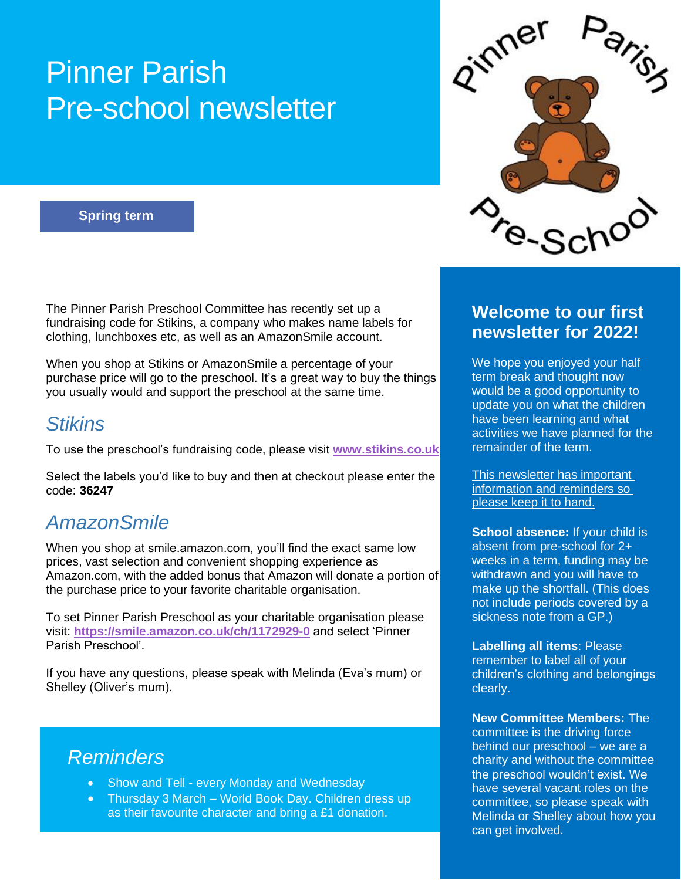# Pinner Parish Pre-school newsletter

#### **Spring term**

The Pinner Parish Preschool Committee has recently set up a fundraising code for Stikins, a company who makes name labels for clothing, lunchboxes etc, as well as an AmazonSmile account.

When you shop at Stikins or AmazonSmile a percentage of your purchase price will go to the preschool. It's a great way to buy the things you usually would and support the preschool at the same time.

#### *Stikins*

To use the preschool's fundraising code, please visit **[www.stikins.co.uk](http://www.stikins.co.uk/)**

Select the labels you'd like to buy and then at checkout please enter the code: **36247**

#### *AmazonSmile*

When you shop at smile.amazon.com, you'll find the exact same low prices, vast selection and convenient shopping experience as Amazon.com, with the added bonus that Amazon will donate a portion of the purchase price to your favorite charitable organisation.

To set Pinner Parish Preschool as your charitable organisation please visit: **<https://smile.amazon.co.uk/ch/1172929-0>** and select 'Pinner Parish Preschool'.

If you have any questions, please speak with Melinda (Eva's mum) or Shelley (Oliver's mum).

#### *Reminders*

- Show and Tell every Monday and Wednesday
- Thursday 3 March World Book Day. Children dress up as their favourite character and bring a £1 donation.



#### **Welcome to our first newsletter for 2022!**

We hope you enjoyed your half term break and thought now would be a good opportunity to update you on what the children have been learning and what activities we have planned for the remainder of the term.

This newsletter has important information and reminders so please keep it to hand.

**School absence:** If your child is absent from pre-school for 2+ weeks in a term, funding may be withdrawn and you will have to make up the shortfall. (This does not include periods covered by a sickness note from a GP.)

**Labelling all items**: Please remember to label all of your children's clothing and belongings clearly.

**New Committee Members:** The committee is the driving force behind our preschool – we are a charity and without the committee the preschool wouldn't exist. We have several vacant roles on the committee, so please speak with Melinda or Shelley about how you can get involved.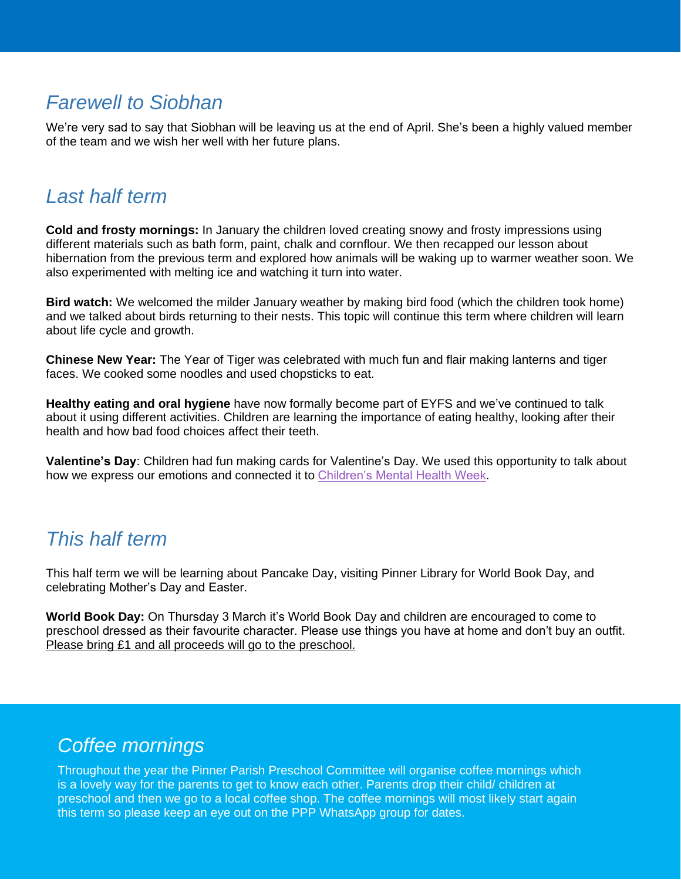#### *Farewell to Siobhan*

We're very sad to say that Siobhan will be leaving us at the end of April. She's been a highly valued member of the team and we wish her well with her future plans.

#### *Last half term*

**Cold and frosty mornings:** In January the children loved creating snowy and frosty impressions using different materials such as bath form, paint, chalk and cornflour. We then recapped our lesson about hibernation from the previous term and explored how animals will be waking up to warmer weather soon. We also experimented with melting ice and watching it turn into water.

**Bird watch:** We welcomed the milder January weather by making bird food (which the children took home) and we talked about birds returning to their nests. This topic will continue this term where children will learn about life cycle and growth.

**Chinese New Year:** The Year of Tiger was celebrated with much fun and flair making lanterns and tiger faces. We cooked some noodles and used chopsticks to eat.

**Healthy eating and oral hygiene** have now formally become part of EYFS and we've continued to talk about it using different activities. Children are learning the importance of eating healthy, looking after their health and how bad food choices affect their teeth.

**Valentine's Day**: Children had fun making cards for Valentine's Day. We used this opportunity to talk about how we express our emotions and connected it to [Children's Mental Health Week.](https://www.childrensmentalhealthweek.org.uk/)

#### *This half term*

This half term we will be learning about Pancake Day, visiting Pinner Library for World Book Day, and celebrating Mother's Day and Easter.

**World Book Day:** On Thursday 3 March it's World Book Day and children are encouraged to come to preschool dressed as their favourite character. Please use things you have at home and don't buy an outfit. Please bring £1 and all proceeds will go to the preschool.

### *Coffee mornings*

Throughout the year the Pinner Parish Preschool Committee will organise coffee mornings which is a lovely way for the parents to get to know each other. Parents drop their child/ children at preschool and then we go to a local coffee shop. The coffee mornings will most likely start again this term so please keep an eye out on the PPP WhatsApp group for dates.